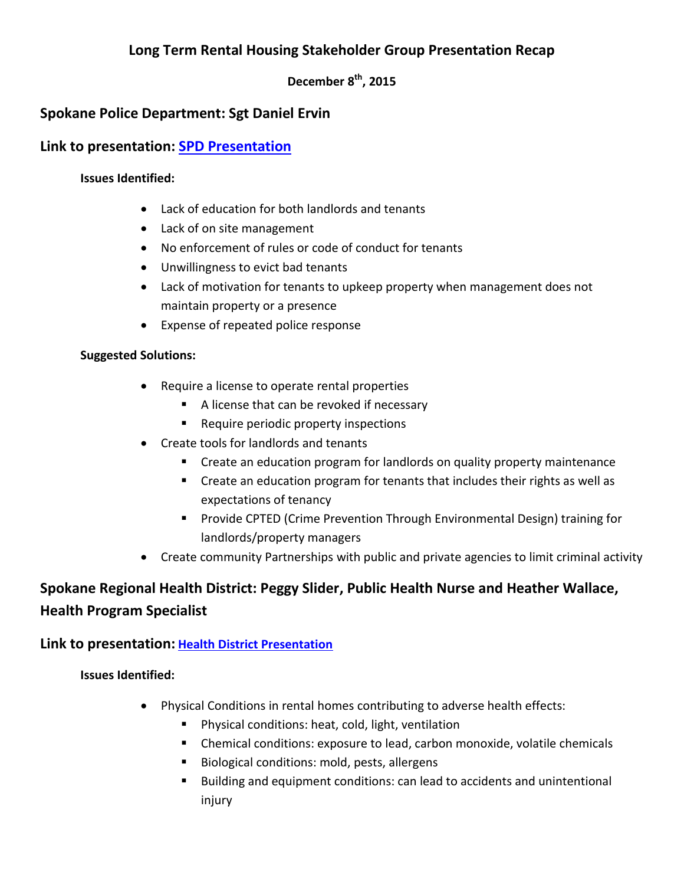# **Long Term Rental Housing Stakeholder Group Presentation Recap**

**December 8th, 2015**

## **Spokane Police Department: Sgt Daniel Ervin**

## **Link to presentation: [SPD Presentation](https://static.spokanecity.org/documents/neighborhoods/getinvolved/public-safety-committee/presentations/rental-housing-presentation-2015-07-07.pdf)**

#### **Issues Identified:**

- Lack of education for both landlords and tenants
- Lack of on site management
- No enforcement of rules or code of conduct for tenants
- Unwillingness to evict bad tenants
- Lack of motivation for tenants to upkeep property when management does not maintain property or a presence
- Expense of repeated police response

#### **Suggested Solutions:**

- Require a license to operate rental properties
	- A license that can be revoked if necessary
	- **Require periodic property inspections**
- Create tools for landlords and tenants
	- Create an education program for landlords on quality property maintenance
	- Create an education program for tenants that includes their rights as well as expectations of tenancy
	- **Provide CPTED (Crime Prevention Through Environmental Design) training for** landlords/property managers
- Create community Partnerships with public and private agencies to limit criminal activity

# **Spokane Regional Health District: Peggy Slider, Public Health Nurse and Heather Wallace, Health Program Specialist**

### **Link to presentation: [Health District Presentation](https://static.spokanecity.org/documents/neighborhoods/getinvolved/public-safety-committee/presentations/rental-housing-presentation-2015-08-04.pdf)**

### **Issues Identified:**

- Physical Conditions in rental homes contributing to adverse health effects:
	- Physical conditions: heat, cold, light, ventilation
	- Chemical conditions: exposure to lead, carbon monoxide, volatile chemicals
	- Biological conditions: mold, pests, allergens
	- Building and equipment conditions: can lead to accidents and unintentional injury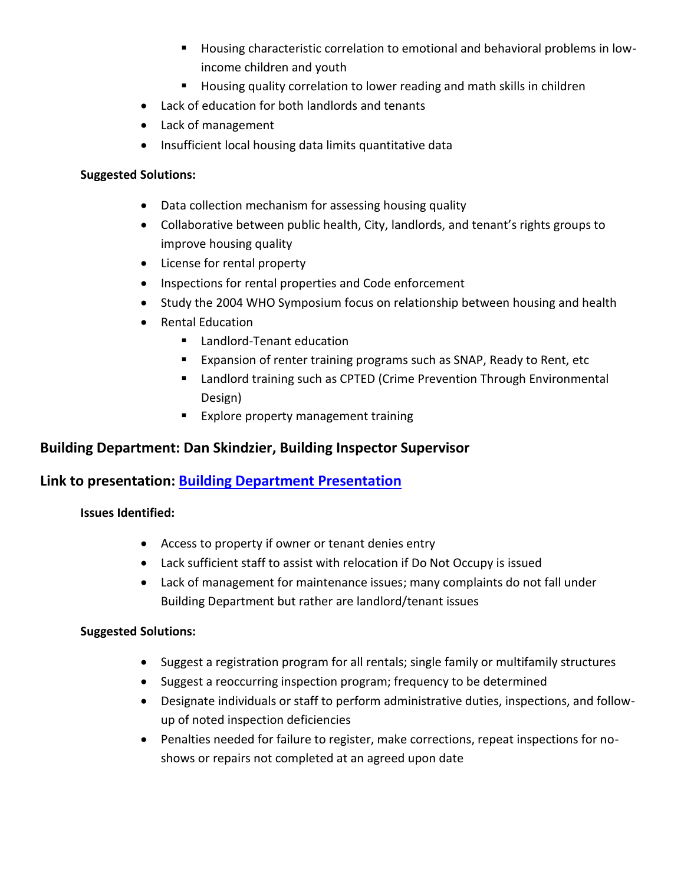- Housing characteristic correlation to emotional and behavioral problems in lowincome children and youth
- **Housing quality correlation to lower reading and math skills in children**
- Lack of education for both landlords and tenants
- Lack of management
- Insufficient local housing data limits quantitative data

#### **Suggested Solutions:**

- Data collection mechanism for assessing housing quality
- Collaborative between public health, City, landlords, and tenant's rights groups to improve housing quality
- License for rental property
- Inspections for rental properties and Code enforcement
- Study the 2004 WHO Symposium focus on relationship between housing and health
- Rental Education
	- Landlord-Tenant education
	- **Expansion of renter training programs such as SNAP, Ready to Rent, etc**
	- Landlord training such as CPTED (Crime Prevention Through Environmental Design)
	- **Explore property management training**

## **Building Department: Dan Skindzier, Building Inspector Supervisor**

## **Link to presentation: [Building Department Presentation](https://static.spokanecity.org/documents/neighborhoods/getinvolved/public-safety-committee/presentations/rental-housing-presentation-2015-09-01.pdf)**

### **Issues Identified:**

- Access to property if owner or tenant denies entry
- Lack sufficient staff to assist with relocation if Do Not Occupy is issued
- Lack of management for maintenance issues; many complaints do not fall under Building Department but rather are landlord/tenant issues

#### **Suggested Solutions:**

- Suggest a registration program for all rentals; single family or multifamily structures
- Suggest a reoccurring inspection program; frequency to be determined
- Designate individuals or staff to perform administrative duties, inspections, and followup of noted inspection deficiencies
- Penalties needed for failure to register, make corrections, repeat inspections for noshows or repairs not completed at an agreed upon date